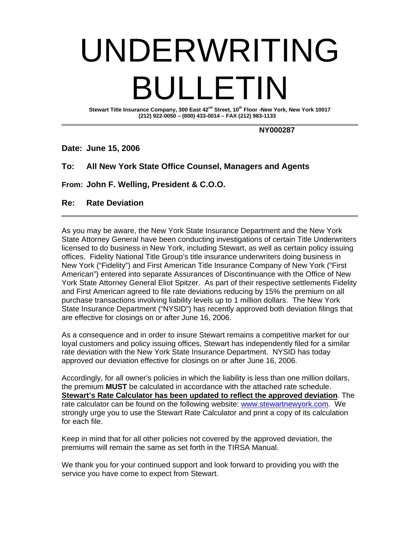# UNDERWRITING BULLETIN

Stewart Title Insurance Company, 300 East 42<sup>nd</sup> Street, 10<sup>th</sup> Floor -New York, New York 10017  **(212) 922-0050 – (800) 433-0014 – FAX (212) 983-1133** 

 **NY000287** 

**Date: June 15, 2006** 

## **To: All New York State Office Counsel, Managers and Agents**

**From: John F. Welling, President & C.O.O.** 

#### **Re: Rate Deviation**

As you may be aware, the New York State Insurance Department and the New York State Attorney General have been conducting investigations of certain Title Underwriters licensed to do business in New York, including Stewart, as well as certain policy issuing offices. Fidelity National Title Group's title insurance underwriters doing business in New York ("Fidelity") and First American Title Insurance Company of New York ("First American") entered into separate Assurances of Discontinuance with the Office of New York State Attorney General Eliot Spitzer. As part of their respective settlements Fidelity and First American agreed to file rate deviations reducing by 15% the premium on all purchase transactions involving liability levels up to 1 million dollars. The New York State Insurance Department ("NYSID") has recently approved both deviation filings that are effective for closings on or after June 16, 2006.

As a consequence and in order to insure Stewart remains a competitive market for our loyal customers and policy issuing offices, Stewart has independently filed for a similar rate deviation with the New York State Insurance Department. NYSID has today approved our deviation effective for closings on or after June 16, 2006.

Accordingly, for all owner's policies in which the liability is less than one million dollars, the premium **MUST** be calculated in accordance with the attached rate schedule. **Stewart's Rate Calculator has been updated to reflect the approved deviation**. The rate calculator can be found on the following website: www.stewartnewyork.com. We strongly urge you to use the Stewart Rate Calculator and print a copy of its calculation for each file.

Keep in mind that for all other policies not covered by the approved deviation, the premiums will remain the same as set forth in the TIRSA Manual.

We thank you for your continued support and look forward to providing you with the service you have come to expect from Stewart.